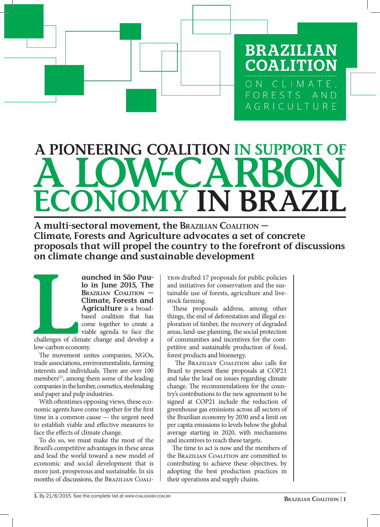**BRAZILIAN COALITION** ON CLIMATE, FORESTS AND AGRICULTURE

## ECONOMY IN BRAZIL A LOW-CARBON A PIONEERING COALITION IN SUPPORT

A multi-sectoral movement, the Brazilian Coalition — Climate, Forests and Agriculture advocates a set of concrete proposals that will propel the country to the forefront of discussions on climate change and sustainable development

Challenges of cline<br>
low-carbon economy aunched in São Paulo in June 2015, The Brazilian Coalition — Climate, Forests and Agriculture is a broadbased coalition that has come together to create a viable agenda to face the

challenges of climate change and develop a low-carbon economy.

The movement unites companies, NGOs, trade associations, environmentalists, farming interests and individuals. There are over 100 members<sup>(1)</sup>, among them some of the leading companies in the lumber, cosmetics, steelmaking and paper and pulp industries.

With oftentimes opposing views, these economic agents have come together for the first time in a common cause — the urgent need to establish viable and effective measures to face the effects of climate change.

To do so, we must make the most of the Brazil's competitive advantages in these areas and lead the world toward a new model of economic and social development that is more just, prosperous and sustainable. In six months of discussions, the Brazilian Coalition drafted 17 proposals for public policies and initiatives for conservation and the sustainable use of forests, agriculture and livestock farming.

These proposals address, among other things, the end of deforestation and illegal exploration of timber, the recovery of degraded areas, land-use planning, the social protection of communities and incentives for the competitive and sustainable production of food, forest products and bioenergy.

 The Brazilian Coalition also calls for Brazil to present these proposals at COP21 and take the lead on issues regarding climate change. The recommendations for the country's contributions to the new agreement to be signed at COP21 include the reduction of greenhouse gas emissions across all sectors of the Brazilian economy by 2030 and a limit on per capita emissions to levels below the global average starting in 2020, with mechanisms and incentives to reach these targets.

The time to act is now and the members of the Brazilian Coalition are committed to contributing to achieve these objectives, by adopting the best production practices in their operations and supply chains.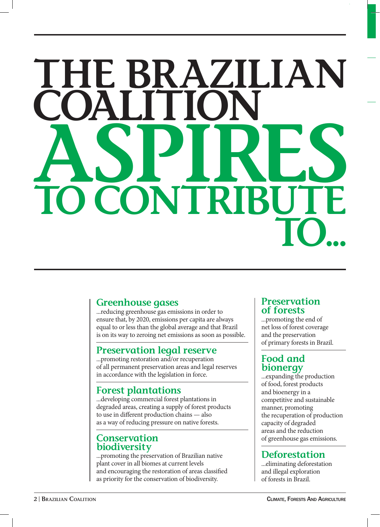## HE BRAZILIAN COALITION ASPIRES NTR TO...

## Greenhouse gases

...reducing greenhouse gas emissions in order to ensure that, by 2020, emissions per capita are always equal to or less than the global average and that Brazil is on its way to zeroing net emissions as soon as possible.

## Preservation legal reserve

...promoting restoration and/or recuperation of all permanent preservation areas and legal reserves in accordance with the legislation in force.

## Forest plantations

...developing commercial forest plantations in degraded areas, creating a supply of forest products to use in different production chains — also as a way of reducing pressure on native forests.

#### **Conservation** biodiversity

...promoting the preservation of Brazilian native plant cover in all biomes at current levels and encouraging the restoration of areas classified as priority for the conservation of biodiversity.

## Preservation of forests

...promoting the end of net loss of forest coverage and the preservation of primary forests in Brazil.

## Food and bionergy

...expanding the production of food, forest products and bioenergy in a competitive and sustainable manner, promoting the recuperation of production capacity of degraded areas and the reduction of greenhouse gas emissions.

## Deforestation

...eliminating deforestation and illegal exploration of forests in Brazil.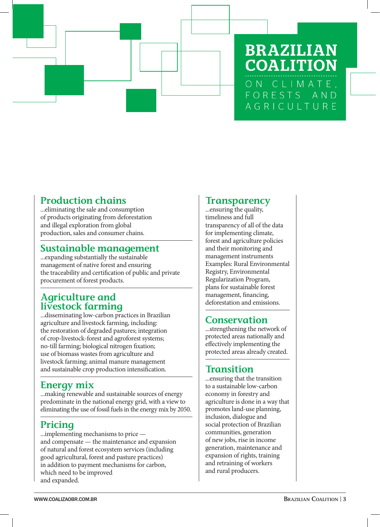

## **BRAZILIAN COALITION** ON CLIMATE, FORESTS AND AGRICULTURE

## Production chains

...eliminating the sale and consumption of products originating from deforestation and illegal exploration from global production, sales and consumer chains.

## Sustainable management

...expanding substantially the sustainable management of native forest and ensuring the traceability and certification of public and private procurement of forest products.

## Agriculture and livestock farming

...disseminating low-carbon practices in Brazilian agriculture and livestock farming, including: the restoration of degraded pastures; integration of crop-livestock-forest and agroforest systems; no-till farming; biological nitrogen fixation; use of biomass wastes from agriculture and livestock farming; animal manure management and sustainable crop production intensification.

## Energy mix

...making renewable and sustainable sources of energy predominate in the national energy grid, with a view to eliminating the use of fossil fuels in the energy mix by 2050.

## Pricing

...implementing mechanisms to price and compensate — the maintenance and expansion of natural and forest ecosystem services (including good agricultural, forest and pasture practices) in addition to payment mechanisms for carbon, which need to be improved and expanded.

## **Transparency**

...ensuring the quality, timeliness and full transparency of all of the data for implementing climate, forest and agriculture policies and their monitoring and management instruments Examples: Rural Environmental Registry, Environmental Regularization Program, plans for sustainable forest management, financing, deforestation and emissions.

## **Conservation**

...strengthening the network of protected areas nationally and effectively implementing the protected areas already created.

## **Transition**

...ensuring that the transition to a sustainable low-carbon economy in forestry and agriculture is done in a way that promotes land-use planning, inclusion, dialogue and social protection of Brazilian communities, generation of new jobs, rise in income generation, maintenance and expansion of rights, training and retraining of workers and rural producers.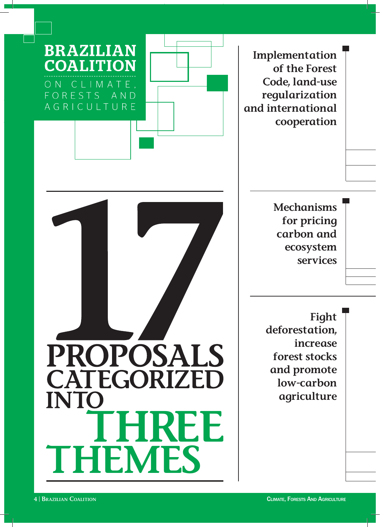



Implementation of the Forest Code, land-use regularization and international cooperation

> Mechanisms for pricing carbon and ecosystem services

Fight deforestation, increase forest stocks and promote low-carbon agriculture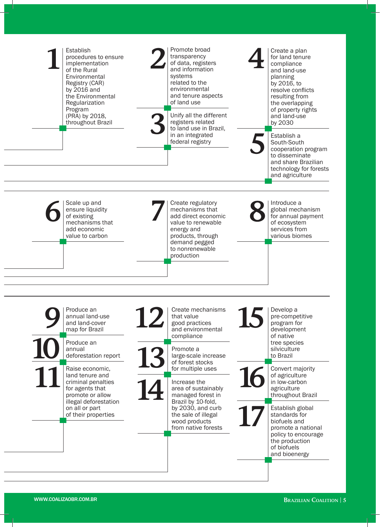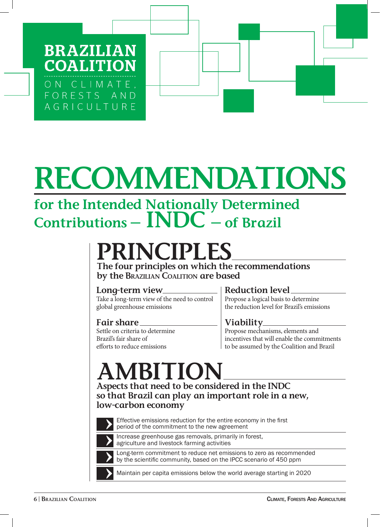**BRAZILIA COALITION** ON CLIMATE, FORESTS AND AGRICULTURE

# RECOMMENDATIONS

## for the Intended Nationally Determined Contributions  $-$  INDC  $-$  of Brazil

## PRINCIPLES

The four principles on which the recommendations by the BRAZILIAN COALITION are based

## Long-term view

Take a long-term view of the need to control global greenhouse emissions

## Fair share

Settle on criteria to determine Brazil's fair share of efforts to reduce emissions

## Reduction level

Propose a logical basis to determine the reduction level for Brazil's emissions

## Viability

Propose mechanisms, elements and incentives that will enable the commitments to be assumed by the Coalition and Brazil

## AMBITION

Aspects that need to be considered in the INDC so that Brazil can play an important role in a new, low-carbon economy



Effective emissions reduction for the entire economy in the first period of the commitment to the new agreement



Increase greenhouse gas removals, primarily in forest, agriculture and livestock farming activities

Long-term commitment to reduce net emissions to zero as recommended by the scientific community, based on the IPCC scenario of 450 ppm

Maintain per capita emissions below the world average starting in 2020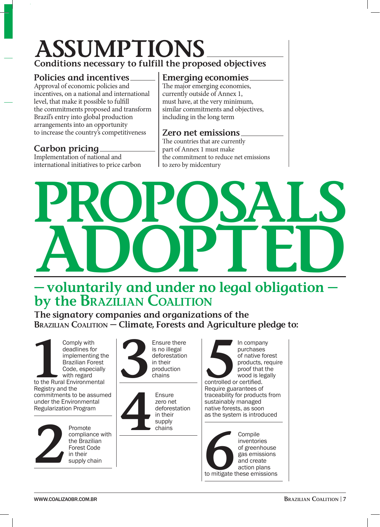## ASSUMPTIONS Conditions necessary to fulfill the proposed objectives

#### Policies and incentives

Approval of economic policies and incentives, on a national and international level, that make it possible to fulfill the commitments proposed and transform Brazil's entry into global production arrangements into an opportunity to increase the country's competitiveness

## Carbon pricing

Implementation of national and international initiatives to price carbon

#### Emerging economies

The major emerging economies, currently outside of Annex 1, must have, at the very minimum, similar commitments and objectives, including in the long term

#### Zero net emissions

The countries that are currently part of Annex 1 must make the commitment to reduce net emissions to zero by midcentury

# PROPOSALS ADOPTED

## — voluntarily and under no legal obligation by the BRAZILIAN COALITION

The signatory companies and organizations of the BRAZILIAN COALITION – Climate, Forests and Agriculture pledge to:

Comply with<br>
deadlines for<br>
implementing th<br>
Brazilian Forest<br>
Code, especially<br>
with regard<br>
to the Rural Environmental Comply with deadlines for implementing the Brazilian Forest Code, especially with regard Registry and the commitments to be assumed under the Environmental Regularization Program



compliance with the Brazilian Forest Code in their supply chain



Ensure<br>
zero ner<br>
defores<br>
in their<br>
supply<br>
chains zero net deforestation in their supply chains





WWW.COALIZAOBR.COM.BR